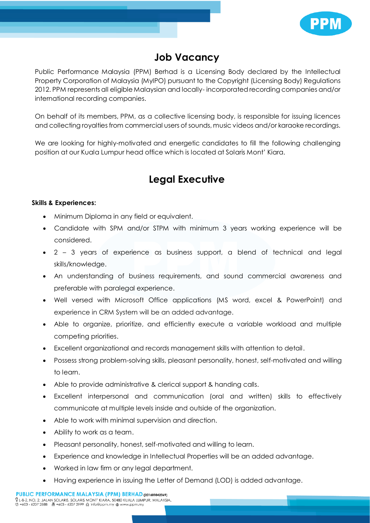

## **Job Vacancy**

Public Performance Malaysia (PPM) Berhad is a Licensing Body declared by the Intellectual Property Corporation of Malaysia (MyIPO) pursuant to the Copyright (Licensing Body) Regulations 2012. PPM represents all eligible Malaysian and locally- incorporated recording companies and/or international recording companies.

On behalf of its members, PPM, as a collective licensing body, is responsible for issuing licences and collecting royalties from commercial users of sounds, music videos and/or karaoke recordings.

We are looking for highly-motivated and energetic candidates to fill the following challenging position at our Kuala Lumpur head office which is located at Solaris Mont' Kiara.

## **Legal Executive**

## **Skills & Experiences:**

- Minimum Diploma in any field or equivalent.
- Candidate with SPM and/or STPM with minimum 3 years working experience will be considered.
- 2 3 years of experience as business support, a blend of technical and legal skills/knowledge.
- An understanding of business requirements, and sound commercial awareness and preferable with paralegal experience.
- Well versed with Microsoft Office applications (MS word, excel & PowerPoint) and experience in CRM System will be an added advantage.
- Able to organize, prioritize, and efficiently execute a variable workload and multiple competing priorities.
- Excellent organizational and records management skills with attention to detail.
- Possess strong problem-solving skills, pleasant personality, honest, self-motivated and willing to learn.
- Able to provide administrative & clerical support & handing calls.
- Excellent interpersonal and communication (oral and written) skills to effectively communicate at multiple levels inside and outside of the organization.
- Able to work with minimal supervision and direction.
- Ability to work as a team.
- Pleasant personality, honest, self-motivated and willing to learn.
- Experience and knowledge in Intellectual Properties will be an added advantage.
- Worked in law firm or any legal department.
- Having experience in issuing the Letter of Demand (LOD) is added advantage.